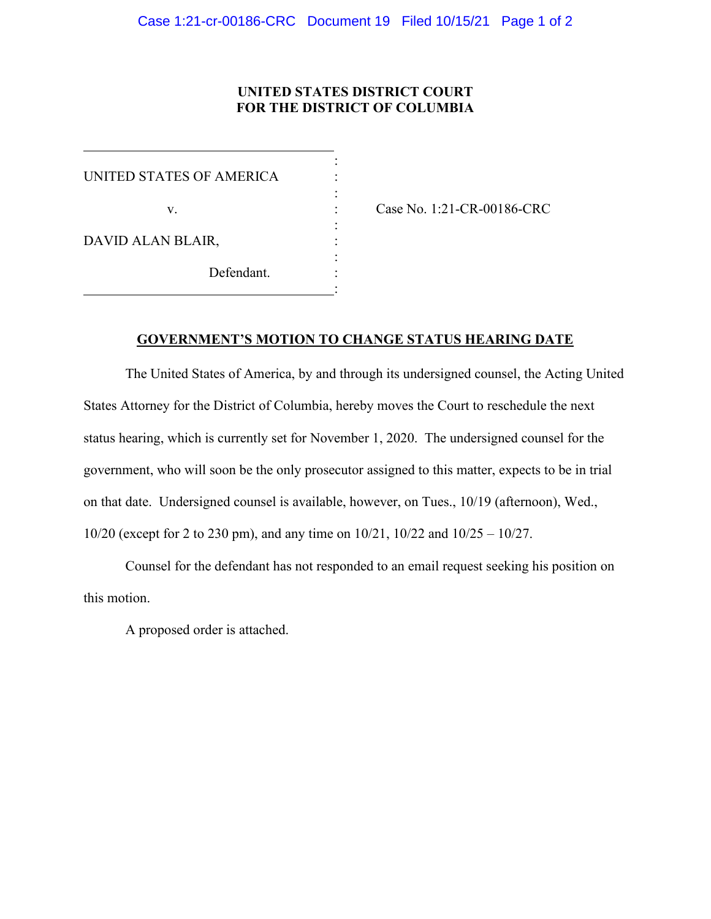## **UNITED STATES DISTRICT COURT FOR THE DISTRICT OF COLUMBIA**

: UNITED STATES OF AMERICA : : : DAVID ALAN BLAIR, : Defendant. :

 $\overline{a}$ 

v. : Case No. 1:21-CR-00186-CRC

## **GOVERNMENT'S MOTION TO CHANGE STATUS HEARING DATE**

The United States of America, by and through its undersigned counsel, the Acting United States Attorney for the District of Columbia, hereby moves the Court to reschedule the next status hearing, which is currently set for November 1, 2020. The undersigned counsel for the government, who will soon be the only prosecutor assigned to this matter, expects to be in trial on that date. Undersigned counsel is available, however, on Tues., 10/19 (afternoon), Wed., 10/20 (except for 2 to 230 pm), and any time on 10/21, 10/22 and 10/25 – 10/27.

Counsel for the defendant has not responded to an email request seeking his position on this motion.

A proposed order is attached.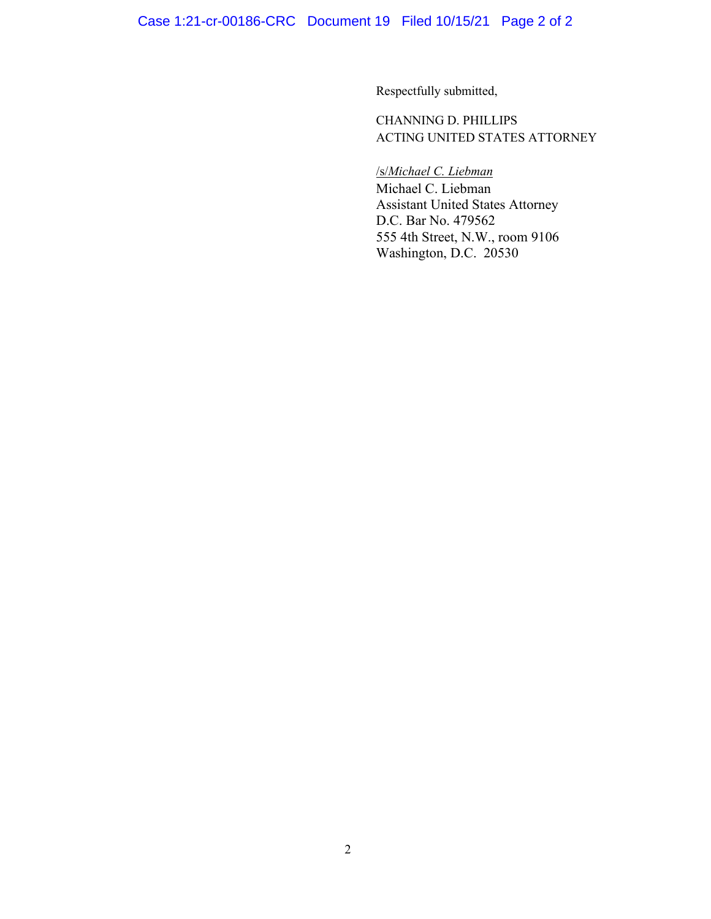Case 1:21-cr-00186-CRC Document 19 Filed 10/15/21 Page 2 of 2

Respectfully submitted,

CHANNING D. PHILLIPS ACTING UNITED STATES ATTORNEY

/s/*Michael C. Liebman* Michael C. Liebman Assistant United States Attorney D.C. Bar No. 479562 555 4th Street, N.W., room 9106 Washington, D.C. 20530